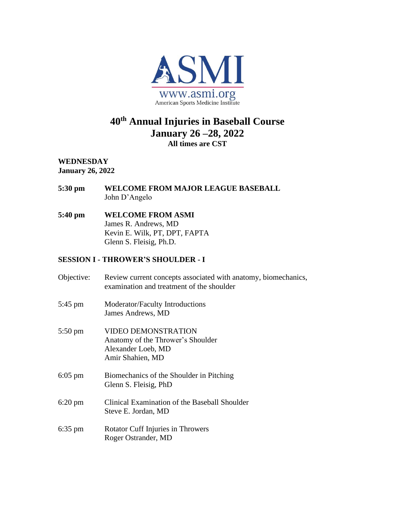

# **40th Annual Injuries in Baseball Course January 26 –28, 2022 All times are CST**

**WEDNESDAY January 26, 2022**

- **5:30 pm WELCOME FROM MAJOR LEAGUE BASEBALL** John D'Angelo
- **5:40 pm WELCOME FROM ASMI** James R. Andrews, MD Kevin E. Wilk, PT, DPT, FAPTA Glenn S. Fleisig, Ph.D.

### **SESSION I - THROWER'S SHOULDER - I**

| Objective:        | Review current concepts associated with anatomy, biomechanics,<br>examination and treatment of the shoulder |
|-------------------|-------------------------------------------------------------------------------------------------------------|
| $5:45 \text{ pm}$ | Moderator/Faculty Introductions<br>James Andrews, MD                                                        |
| $5:50 \text{ pm}$ | VIDEO DEMONSTRATION<br>Anatomy of the Thrower's Shoulder<br>Alexander Loeb, MD<br>Amir Shahien, MD          |
| $6:05$ pm         | Biomechanics of the Shoulder in Pitching<br>Glenn S. Fleisig, PhD                                           |
| $6:20 \text{ pm}$ | Clinical Examination of the Baseball Shoulder<br>Steve E. Jordan, MD                                        |
| $6:35 \text{ pm}$ | <b>Rotator Cuff Injuries in Throwers</b><br>Roger Ostrander, MD                                             |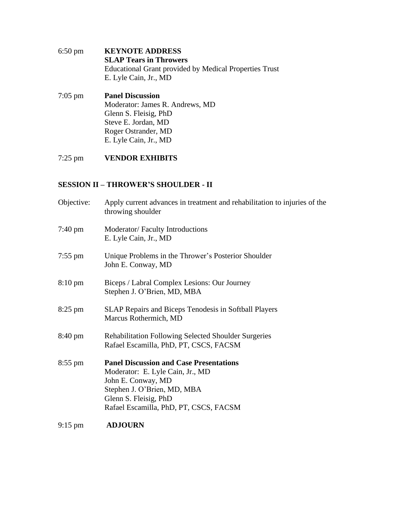| $6:50 \text{ pm}$ | <b>KEYNOTE ADDRESS</b>                                 |
|-------------------|--------------------------------------------------------|
|                   | <b>SLAP Tears in Throwers</b>                          |
|                   | Educational Grant provided by Medical Properties Trust |
|                   | E. Lyle Cain, Jr., MD                                  |
|                   |                                                        |

7:05 pm **Panel Discussion** Moderator: James R. Andrews, MD Glenn S. Fleisig, PhD Steve E. Jordan, MD Roger Ostrander, MD E. Lyle Cain, Jr., MD

# 7:25 pm **VENDOR EXHIBITS**

### **SESSION II – THROWER'S SHOULDER - II**

| Objective:        | Apply current advances in treatment and rehabilitation to injuries of the<br>throwing shoulder                                                                                                             |
|-------------------|------------------------------------------------------------------------------------------------------------------------------------------------------------------------------------------------------------|
| $7:40 \text{ pm}$ | Moderator/Faculty Introductions<br>E. Lyle Cain, Jr., MD                                                                                                                                                   |
| $7:55$ pm         | Unique Problems in the Thrower's Posterior Shoulder<br>John E. Conway, MD                                                                                                                                  |
| $8:10 \text{ pm}$ | Biceps / Labral Complex Lesions: Our Journey<br>Stephen J. O'Brien, MD, MBA                                                                                                                                |
| $8:25$ pm         | <b>SLAP Repairs and Biceps Tenodesis in Softball Players</b><br>Marcus Rothermich, MD                                                                                                                      |
| $8:40 \text{ pm}$ | <b>Rehabilitation Following Selected Shoulder Surgeries</b><br>Rafael Escamilla, PhD, PT, CSCS, FACSM                                                                                                      |
| $8:55$ pm         | <b>Panel Discussion and Case Presentations</b><br>Moderator: E. Lyle Cain, Jr., MD<br>John E. Conway, MD<br>Stephen J. O'Brien, MD, MBA<br>Glenn S. Fleisig, PhD<br>Rafael Escamilla, PhD, PT, CSCS, FACSM |
| $0.15 \text{ nm}$ | ADIOURN                                                                                                                                                                                                    |

#### 9:15 pm **ADJOURN**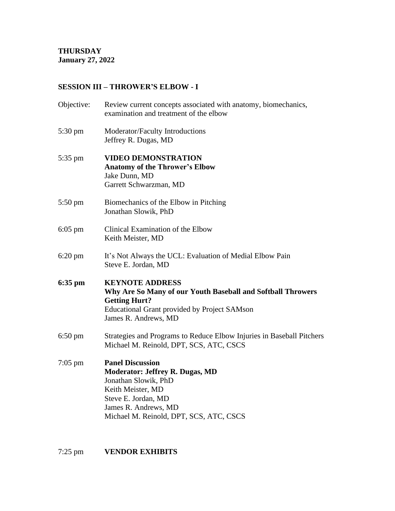## **SESSION III – THROWER'S ELBOW - I**

| Review current concepts associated with anatomy, biomechanics,<br>examination and treatment of the elbow                                                                                                 |
|----------------------------------------------------------------------------------------------------------------------------------------------------------------------------------------------------------|
| Moderator/Faculty Introductions<br>Jeffrey R. Dugas, MD                                                                                                                                                  |
| <b>VIDEO DEMONSTRATION</b><br><b>Anatomy of the Thrower's Elbow</b><br>Jake Dunn, MD<br>Garrett Schwarzman, MD                                                                                           |
| Biomechanics of the Elbow in Pitching<br>Jonathan Slowik, PhD                                                                                                                                            |
| Clinical Examination of the Elbow<br>Keith Meister, MD                                                                                                                                                   |
| It's Not Always the UCL: Evaluation of Medial Elbow Pain<br>Steve E. Jordan, MD                                                                                                                          |
| <b>KEYNOTE ADDRESS</b><br>Why Are So Many of our Youth Baseball and Softball Throwers<br><b>Getting Hurt?</b><br><b>Educational Grant provided by Project SAMson</b><br>James R. Andrews, MD             |
| Strategies and Programs to Reduce Elbow Injuries in Baseball Pitchers<br>Michael M. Reinold, DPT, SCS, ATC, CSCS                                                                                         |
| <b>Panel Discussion</b><br><b>Moderator: Jeffrey R. Dugas, MD</b><br>Jonathan Slowik, PhD<br>Keith Meister, MD<br>Steve E. Jordan, MD<br>James R. Andrews, MD<br>Michael M. Reinold, DPT, SCS, ATC, CSCS |
|                                                                                                                                                                                                          |

7:25 pm **VENDOR EXHIBITS**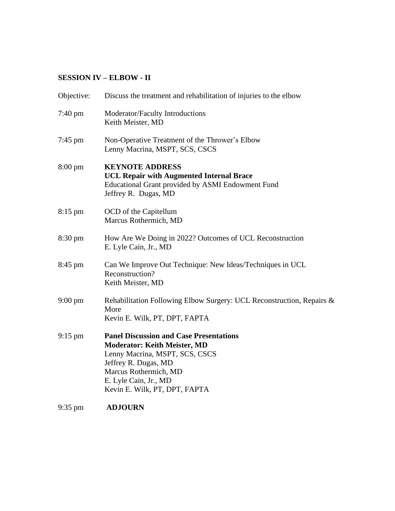### **SESSION IV – ELBOW - II**

| Objective:        | Discuss the treatment and rehabilitation of injuries to the elbow                                                                                                                                                                  |
|-------------------|------------------------------------------------------------------------------------------------------------------------------------------------------------------------------------------------------------------------------------|
| $7:40 \text{ pm}$ | Moderator/Faculty Introductions<br>Keith Meister, MD                                                                                                                                                                               |
| $7:45$ pm         | Non-Operative Treatment of the Thrower's Elbow<br>Lenny Macrina, MSPT, SCS, CSCS                                                                                                                                                   |
| $8:00 \text{ pm}$ | <b>KEYNOTE ADDRESS</b><br><b>UCL Repair with Augmented Internal Brace</b><br>Educational Grant provided by ASMI Endowment Fund<br>Jeffrey R. Dugas, MD                                                                             |
| $8:15$ pm         | OCD of the Capitellum<br>Marcus Rothermich, MD                                                                                                                                                                                     |
| 8:30 pm           | How Are We Doing in 2022? Outcomes of UCL Reconstruction<br>E. Lyle Cain, Jr., MD                                                                                                                                                  |
| 8:45 pm           | Can We Improve Out Technique: New Ideas/Techniques in UCL<br>Reconstruction?<br>Keith Meister, MD                                                                                                                                  |
| $9:00 \text{ pm}$ | Rehabilitation Following Elbow Surgery: UCL Reconstruction, Repairs &<br>More<br>Kevin E. Wilk, PT, DPT, FAPTA                                                                                                                     |
| $9:15$ pm         | <b>Panel Discussion and Case Presentations</b><br><b>Moderator: Keith Meister, MD</b><br>Lenny Macrina, MSPT, SCS, CSCS<br>Jeffrey R. Dugas, MD<br>Marcus Rothermich, MD<br>E. Lyle Cain, Jr., MD<br>Kevin E. Wilk, PT, DPT, FAPTA |

9:35 pm **ADJOURN**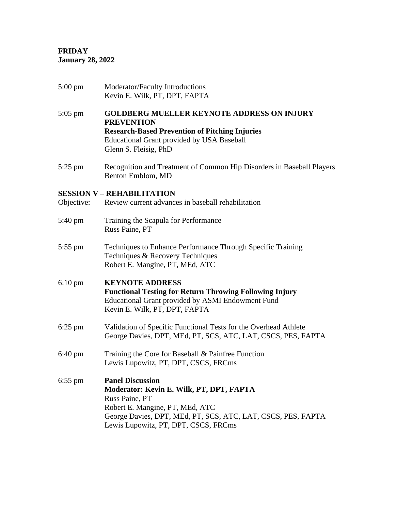**FRIDAY January 28, 2022** 

| $5:00 \text{ pm}$ | Moderator/Faculty Introductions<br>Kevin E. Wilk, PT, DPT, FAPTA                                                                                                                                                                 |
|-------------------|----------------------------------------------------------------------------------------------------------------------------------------------------------------------------------------------------------------------------------|
| $5:05$ pm         | <b>GOLDBERG MUELLER KEYNOTE ADDRESS ON INJURY</b><br><b>PREVENTION</b><br><b>Research-Based Prevention of Pitching Injuries</b><br>Educational Grant provided by USA Baseball<br>Glenn S. Fleisig, PhD                           |
| $5:25$ pm         | Recognition and Treatment of Common Hip Disorders in Baseball Players<br>Benton Emblom, MD                                                                                                                                       |
| Objective:        | <b>SESSION V - REHABILITATION</b><br>Review current advances in baseball rehabilitation                                                                                                                                          |
| $5:40 \text{ pm}$ | Training the Scapula for Performance<br>Russ Paine, PT                                                                                                                                                                           |
| $5:55$ pm         | Techniques to Enhance Performance Through Specific Training<br>Techniques & Recovery Techniques<br>Robert E. Mangine, PT, MEd, ATC                                                                                               |
| $6:10 \text{ pm}$ | <b>KEYNOTE ADDRESS</b><br><b>Functional Testing for Return Throwing Following Injury</b><br>Educational Grant provided by ASMI Endowment Fund<br>Kevin E. Wilk, PT, DPT, FAPTA                                                   |
| $6:25$ pm         | Validation of Specific Functional Tests for the Overhead Athlete<br>George Davies, DPT, MEd, PT, SCS, ATC, LAT, CSCS, PES, FAPTA                                                                                                 |
| $6:40 \text{ pm}$ | Training the Core for Baseball & Painfree Function<br>Lewis Lupowitz, PT, DPT, CSCS, FRCms                                                                                                                                       |
| $6:55$ pm         | <b>Panel Discussion</b><br>Moderator: Kevin E. Wilk, PT, DPT, FAPTA<br>Russ Paine, PT<br>Robert E. Mangine, PT, MEd, ATC<br>George Davies, DPT, MEd, PT, SCS, ATC, LAT, CSCS, PES, FAPTA<br>Lewis Lupowitz, PT, DPT, CSCS, FRCms |